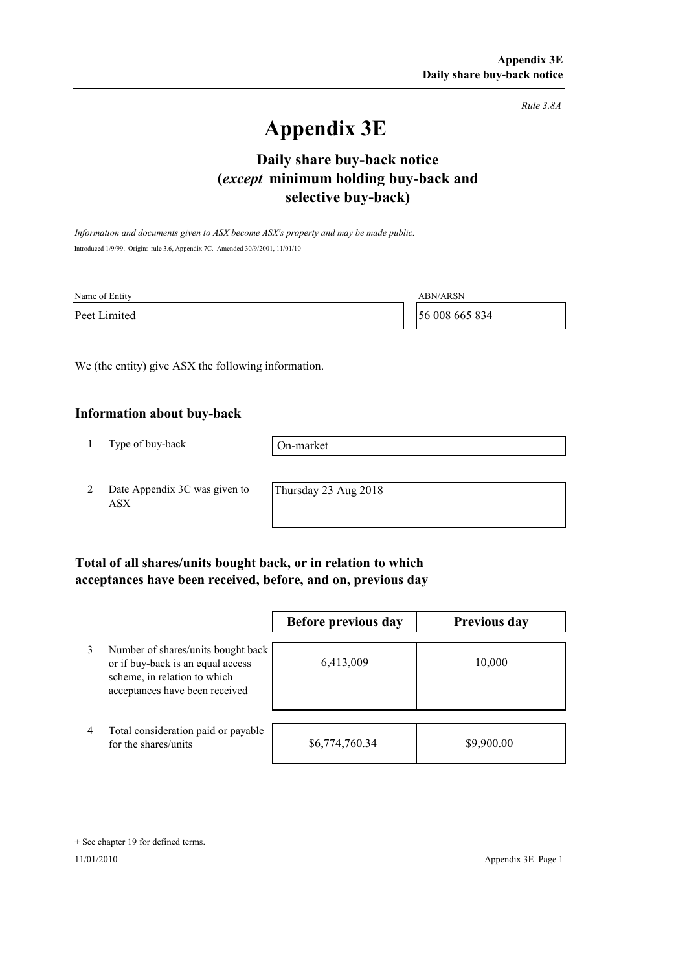*Rule 3.8A*

# **Appendix 3E**

# **selective buy-back) Daily share buy-back notice (***except* **minimum holding buy-back and**

*Information and documents given to ASX become ASX's property and may be made public.* Introduced 1/9/99. Origin: rule 3.6, Appendix 7C. Amended 30/9/2001, 11/01/10

| Name of Entity | ABN/ARSN       |
|----------------|----------------|
| Peet Limited   | 56 008 665 834 |

We (the entity) give ASX the following information.

#### **Information about buy-back**

1 Type of buy-back

On-market

2 Date Appendix 3C was given to ASX

Thursday 23 Aug 2018

### **Total of all shares/units bought back, or in relation to which acceptances have been received, before, and on, previous day**

|   |                                                                                                                                           | Before previous day | <b>Previous day</b> |
|---|-------------------------------------------------------------------------------------------------------------------------------------------|---------------------|---------------------|
| 3 | Number of shares/units bought back<br>or if buy-back is an equal access<br>scheme, in relation to which<br>acceptances have been received | 6,413,009           | 10,000              |
| 4 | Total consideration paid or payable<br>for the shares/units                                                                               | \$6,774,760.34      | \$9,900.00          |

<sup>+</sup> See chapter 19 for defined terms.